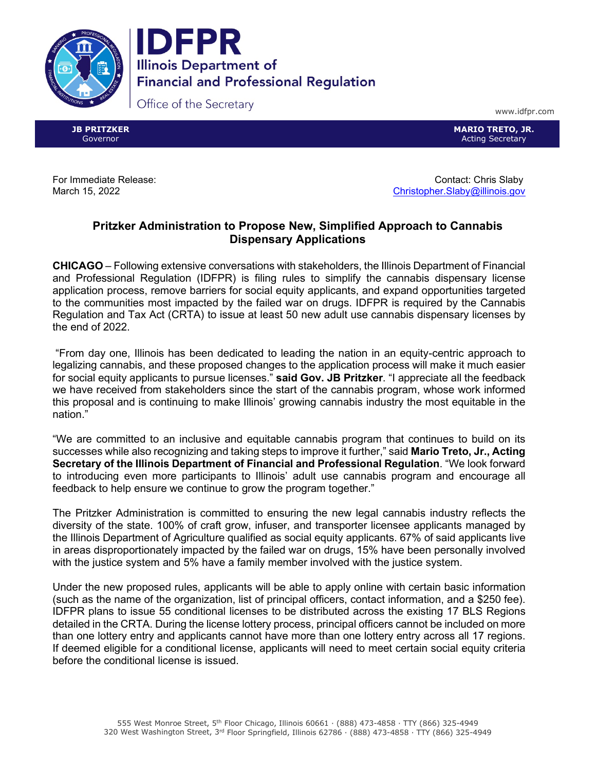



Office of the Secretary

www.idfpr.com

**JB PRITZKER** Governor

**MARIO TRETO, JR.** Acting Secretary

For Immediate Release: Contact: Chris Slaby March 15, 2022 **[Christopher.Slaby@illinois.gov](mailto:Christopher.Slaby@illinois.gov)** Christopher.Slaby@illinois.gov

## **Pritzker Administration to Propose New, Simplified Approach to Cannabis Dispensary Applications**

**CHICAGO** – Following extensive conversations with stakeholders, the Illinois Department of Financial and Professional Regulation (IDFPR) is filing rules to simplify the cannabis dispensary license application process, remove barriers for social equity applicants, and expand opportunities targeted to the communities most impacted by the failed war on drugs. IDFPR is required by the Cannabis Regulation and Tax Act (CRTA) to issue at least 50 new adult use cannabis dispensary licenses by the end of 2022.

"From day one, Illinois has been dedicated to leading the nation in an equity-centric approach to legalizing cannabis, and these proposed changes to the application process will make it much easier for social equity applicants to pursue licenses." **said Gov. JB Pritzker**. "I appreciate all the feedback we have received from stakeholders since the start of the cannabis program, whose work informed this proposal and is continuing to make Illinois' growing cannabis industry the most equitable in the nation."

"We are committed to an inclusive and equitable cannabis program that continues to build on its successes while also recognizing and taking steps to improve it further," said **Mario Treto, Jr., Acting Secretary of the Illinois Department of Financial and Professional Regulation**. "We look forward to introducing even more participants to Illinois' adult use cannabis program and encourage all feedback to help ensure we continue to grow the program together."

The Pritzker Administration is committed to ensuring the new legal cannabis industry reflects the diversity of the state. 100% of craft grow, infuser, and transporter licensee applicants managed by the Illinois Department of Agriculture qualified as social equity applicants. 67% of said applicants live in areas disproportionately impacted by the failed war on drugs, 15% have been personally involved with the justice system and 5% have a family member involved with the justice system.

Under the new proposed rules, applicants will be able to apply online with certain basic information (such as the name of the organization, list of principal officers, contact information, and a \$250 fee). IDFPR plans to issue 55 conditional licenses to be distributed across the existing 17 BLS Regions detailed in the CRTA. During the license lottery process, principal officers cannot be included on more than one lottery entry and applicants cannot have more than one lottery entry across all 17 regions. If deemed eligible for a conditional license, applicants will need to meet certain social equity criteria before the conditional license is issued.